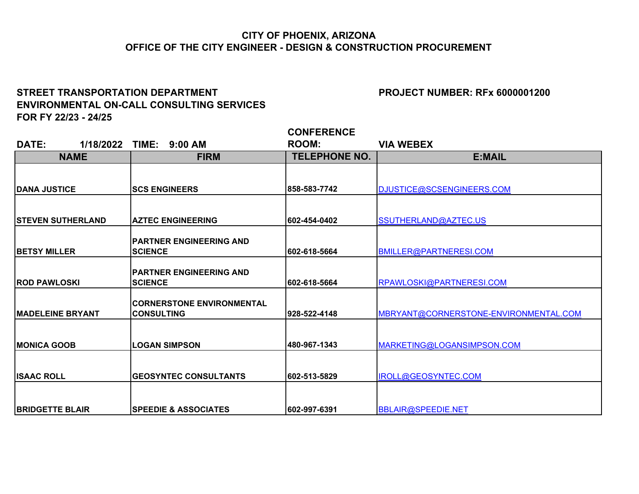## **CITY OF PHOENIX, ARIZONA OFFICE OF THE CITY ENGINEER - DESIGN & CONSTRUCTION PROCUREMENT**

## STREET TRANSPORTATION DEPARTMENT **EXAMPLE 2018 TO A PROJECT NUMBER: RFx 6000001200 ENVIRONMENTAL ON-CALL CONSULTING SERVICES FOR FY 22/23 - 24/25**

| DATE:                    | 1/18/2022   | TIME: 9:00 AM                    | <b>ROOM:</b>         | <b>VIA WEBEX</b>                      |
|--------------------------|-------------|----------------------------------|----------------------|---------------------------------------|
|                          | <b>NAME</b> | <b>FIRM</b>                      | <b>TELEPHONE NO.</b> | E:MAIL                                |
|                          |             |                                  |                      |                                       |
|                          |             |                                  |                      |                                       |
| <b>DANA JUSTICE</b>      |             | <b>SCS ENGINEERS</b>             | 858-583-7742         | DJUSTICE@SCSENGINEERS.COM             |
|                          |             |                                  |                      |                                       |
| <b>STEVEN SUTHERLAND</b> |             | <b>AZTEC ENGINEERING</b>         | 602-454-0402         | SSUTHERLAND@AZTEC.US                  |
|                          |             |                                  |                      |                                       |
|                          |             | <b>PARTNER ENGINEERING AND</b>   |                      |                                       |
| <b>BETSY MILLER</b>      |             | <b>SCIENCE</b>                   | 602-618-5664         | BMILLER@PARTNERESI.COM                |
|                          |             |                                  |                      |                                       |
|                          |             | <b>PARTNER ENGINEERING AND</b>   |                      |                                       |
| <b>IROD PAWLOSKI</b>     |             | <b>SCIENCE</b>                   | 602-618-5664         | RPAWLOSKI@PARTNERESI.COM              |
|                          |             | <b>CORNERSTONE ENVIRONMENTAL</b> |                      |                                       |
| <b>IMADELEINE BRYANT</b> |             | <b>CONSULTING</b>                | 1928-522-4148        | MBRYANT@CORNERSTONE-ENVIRONMENTAL.COM |
|                          |             |                                  |                      |                                       |
|                          |             |                                  |                      |                                       |
| <b>IMONICA GOOB</b>      |             | <b>LOGAN SIMPSON</b>             | 480-967-1343         | MARKETING@LOGANSIMPSON.COM            |
|                          |             |                                  |                      |                                       |
| <b>ISAAC ROLL</b>        |             | <b>GEOSYNTEC CONSULTANTS</b>     | 602-513-5829         | IROLL@GEOSYNTEC.COM                   |
|                          |             |                                  |                      |                                       |
|                          |             |                                  |                      |                                       |
| <b>IBRIDGETTE BLAIR</b>  |             | <b>ISPEEDIE &amp; ASSOCIATES</b> | 1602-997-6391        | BBLAIR@SPEEDIE.NET                    |

**CONFERENCE**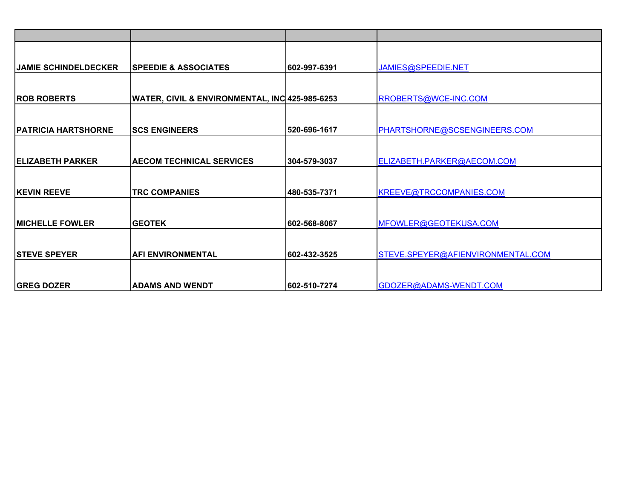| <b>JAMIE SCHINDELDECKER</b> | <b>SPEEDIE &amp; ASSOCIATES</b>                | 602-997-6391  | JAMIES@SPEEDIE.NET                |
|-----------------------------|------------------------------------------------|---------------|-----------------------------------|
|                             |                                                |               |                                   |
| <b>ROB ROBERTS</b>          | WATER, CIVIL & ENVIRONMENTAL, INC 425-985-6253 |               | RROBERTS@WCE-INC.COM              |
|                             |                                                |               |                                   |
| <b>PATRICIA HARTSHORNE</b>  | <b>SCS ENGINEERS</b>                           | 520-696-1617  | PHARTSHORNE@SCSENGINEERS.COM      |
|                             |                                                |               |                                   |
| <b>IELIZABETH PARKER</b>    | <b>AECOM TECHNICAL SERVICES</b>                | 304-579-3037  | ELIZABETH.PARKER@AECOM.COM        |
|                             |                                                |               |                                   |
| <b>IKEVIN REEVE</b>         | <b>TRC COMPANIES</b>                           | 480-535-7371  | KREEVE@TRCCOMPANIES.COM           |
|                             |                                                |               |                                   |
| <b>MICHELLE FOWLER</b>      | <b>IGEOTEK</b>                                 | 602-568-8067  | MFOWLER@GEOTEKUSA.COM             |
|                             |                                                |               |                                   |
| <b>ISTEVE SPEYER</b>        | <b>AFI ENVIRONMENTAL</b>                       | 602-432-3525  | STEVE.SPEYER@AFIENVIRONMENTAL.COM |
|                             |                                                |               |                                   |
| <b>GREG DOZER</b>           | <b>ADAMS AND WENDT</b>                         | 1602-510-7274 | GDOZER@ADAMS-WENDT.COM            |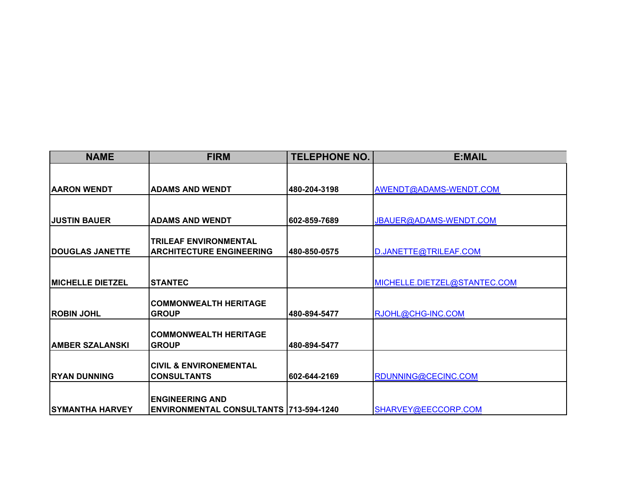| <b>NAME</b>              | <b>FIRM</b>                                                              | <b>TELEPHONE NO.</b> | E:MAIL                       |
|--------------------------|--------------------------------------------------------------------------|----------------------|------------------------------|
|                          |                                                                          |                      |                              |
| <b>AARON WENDT</b>       | <b>ADAMS AND WENDT</b>                                                   | 480-204-3198         | AWENDT@ADAMS-WENDT.COM       |
|                          |                                                                          |                      |                              |
| <b>JUSTIN BAUER</b>      | <b>IADAMS AND WENDT</b>                                                  | 602-859-7689         | JBAUER@ADAMS-WENDT.COM       |
|                          | <b>TRILEAF ENVIRONMENTAL</b>                                             |                      |                              |
| <b> DOUGLAS JANETTE</b>  | <b>ARCHITECTURE ENGINEERING</b>                                          | 480-850-0575         | D.JANETTE@TRILEAF.COM        |
|                          |                                                                          |                      |                              |
| <b>IMICHELLE DIETZEL</b> | <b>STANTEC</b>                                                           |                      | MICHELLE.DIETZEL@STANTEC.COM |
|                          | <b>COMMONWEALTH HERITAGE</b>                                             |                      |                              |
| <b>IROBIN JOHL</b>       | <b>GROUP</b>                                                             | 480-894-5477         | RJOHL@CHG-INC.COM            |
|                          | <b>ICOMMONWEALTH HERITAGE</b>                                            |                      |                              |
| <b>AMBER SZALANSKI</b>   | <b>GROUP</b>                                                             | 480-894-5477         |                              |
|                          | <b>CIVIL &amp; ENVIRONEMENTAL</b>                                        |                      |                              |
| <b>IRYAN DUNNING</b>     | <b>CONSULTANTS</b>                                                       | 602-644-2169         | RDUNNING@CECINC.COM          |
|                          |                                                                          |                      |                              |
| <b>SYMANTHA HARVEY</b>   | <b>IENGINEERING AND</b><br><b>ENVIRONMENTAL CONSULTANTS 713-594-1240</b> |                      | SHARVEY@EECCORP.COM          |